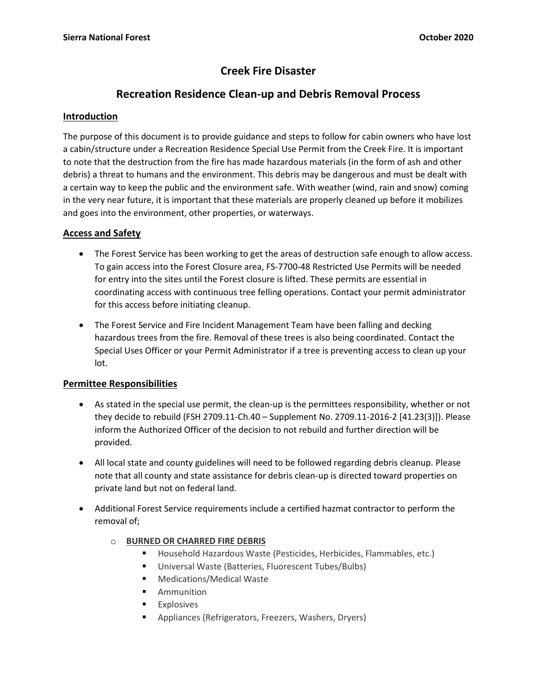# **Creek Fire Disaster**

## **Recreation Residence Clean-up and Debris Removal Process**

## **Introduction**

The purpose of this document is to provide guidance and steps to follow for cabin owners who have lost a cabin/structure under a Recreation Residence Special Use Permit from the Creek Fire. It is important to note that the destruction from the fire has made hazardous materials (in the form of ash and other debris) a threat to humans and the environment. This debris may be dangerous and must be dealt with a certain way to keep the public and the environment safe. With weather (wind, rain and snow) coming in the very near future, it is important that these materials are properly cleaned up before it mobilizes and goes into the environment, other properties, or waterways.

## **Access and Safety**

- The Forest Service has been working to get the areas of destruction safe enough to allow access. To gain access into the Forest Closure area, FS-7700-48 Restricted Use Permits will be needed for entry into the sites until the Forest closure is lifted. These permits are essential in coordinating access with continuous tree felling operations. Contact your permit administrator for this access before initiating cleanup.
- The Forest Service and Fire Incident Management Team have been falling and decking hazardous trees from the fire. Removal of these trees is also being coordinated. Contact the Special Uses Officer or your Permit Administrator if a tree is preventing access to clean up your lot.

## **Permittee Responsibilities**

- As stated in the special use permit, the clean-up is the permittees responsibility, whether or not they decide to rebuild (FSH 2709.11-Ch.40 – Supplement No. 2709.11-2016-2 [41.23(3)]). Please inform the Authorized Officer of the decision to not rebuild and further direction will be provided.
- All local state and county guidelines will need to be followed regarding debris cleanup. Please note that all county and state assistance for debris clean-up is directed toward properties on private land but not on federal land.
- Additional Forest Service requirements include a certified hazmat contractor to perform the removal of;
	- o **BURNED OR CHARRED FIRE DEBRIS**
		- Household Hazardous Waste (Pesticides, Herbicides, Flammables, etc.)
		- Universal Waste (Batteries, Fluorescent Tubes/Bulbs)
		- Medications/Medical Waste
		- Ammunition
		- Explosives
		- Appliances (Refrigerators, Freezers, Washers, Dryers)